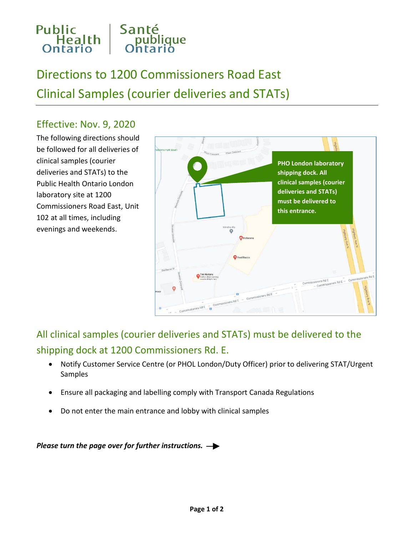

## Directions to 1200 Commissioners Road East Clinical Samples (courier deliveries and STATs)

## Effective: Nov. 9, 2020

The following directions should be followed for all deliveries of clinical samples (courier deliveries and STATs) to the Public Health Ontario London laboratory site at 1200 Commissioners Road East, Unit 102 at all times, including evenings and weekends.



All clinical samples (courier deliveries and STATs) must be delivered to the shipping dock at 1200 Commissioners Rd. E.

- Notify Customer Service Centre (or PHOL London/Duty Officer) prior to delivering STAT/Urgent Samples
- Ensure all packaging and labelling comply with Transport Canada Regulations
- Do not enter the main entrance and lobby with clinical samples

*Please turn the page over for further instructions.*